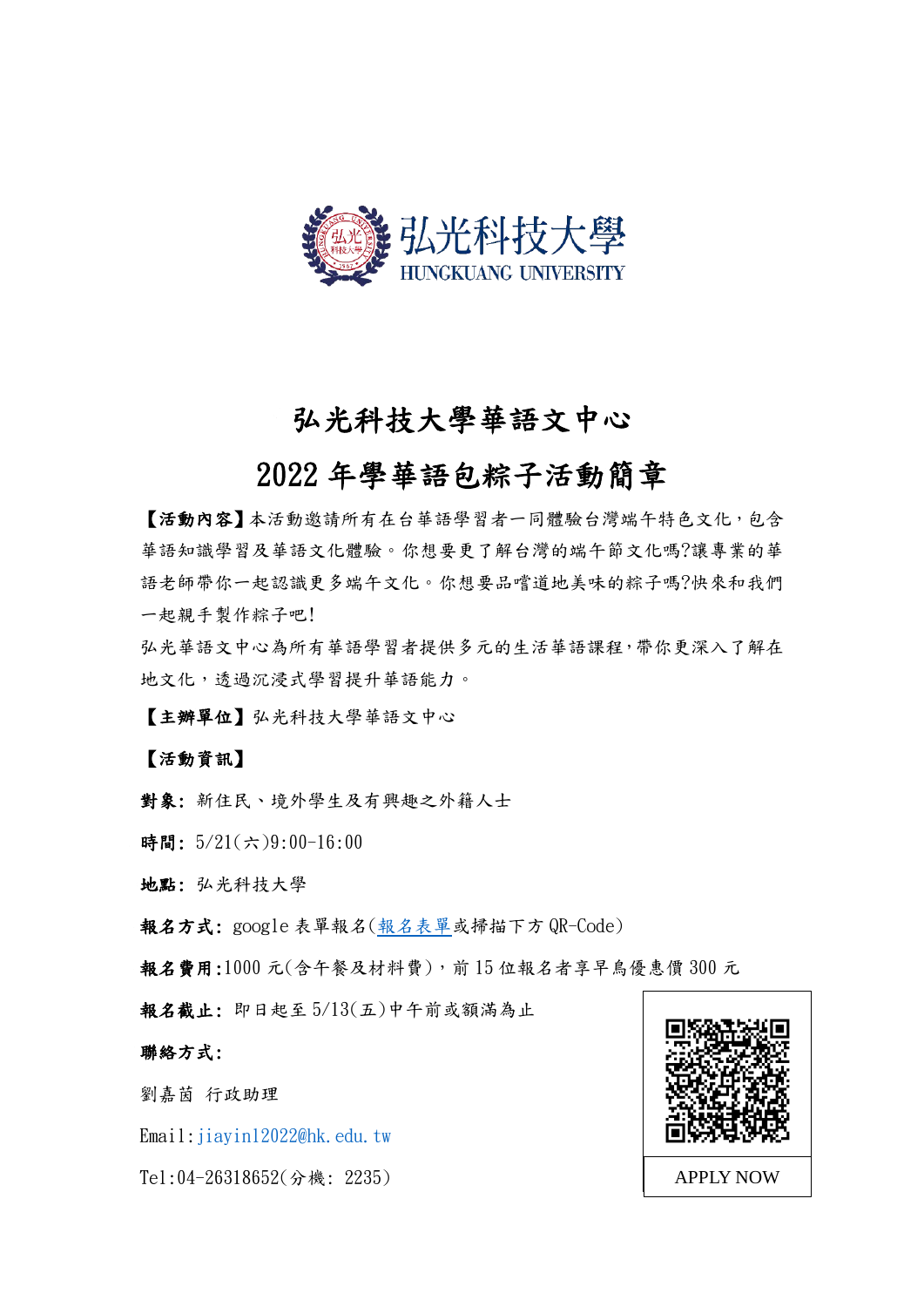

# 弘光科技大學華語文中心

# 2022 年學華語包粽子活動簡章

【活動內容】本活動邀請所有在台華語學習者一同體驗台灣端午特色文化,包含 華語知識學習及華語文化體驗。你想要更了解台灣的端午節文化嗎?讓專業的華 語老師帶你一起認識更多端午文化。你想要品嚐道地美味的粽子嗎?快來和我們 一起親手製作粽子吧!

弘光華語文中心為所有華語學習者提供多元的生活華語課程,帶你更深入了解在 地文化,透過沉浸式學習提升華語能力。

【主辦單位】弘光科技大學華語文中心

【活動資訊】

對象: 新住民、境外學生及有興趣之外籍人士

時間: 5/21(六)9:00-16:00

地點: 弘光科技大學

報名方式: google 表單報名([報名表單或](https://docs.google.com/forms/d/e/1FAIpQLSfO-bVGLj6OQAsejQcvR2KuEvCDtHd2gP6uoFXIoQiSM6yfrA/viewform?usp=sf_link)掃描下方 QR-Code)

報名費用:1000 元(含午餐及材料費),前 15 位報名者享早鳥優惠價 300 元

報名截止: 即日起至 5/13(五)中午前或額滿為止

聯絡方式:

劉嘉茵 行政助理

Email: jiayinl2022@hk.edu.tw

Tel:04-26318652(分機: 2235) APPLY NOW

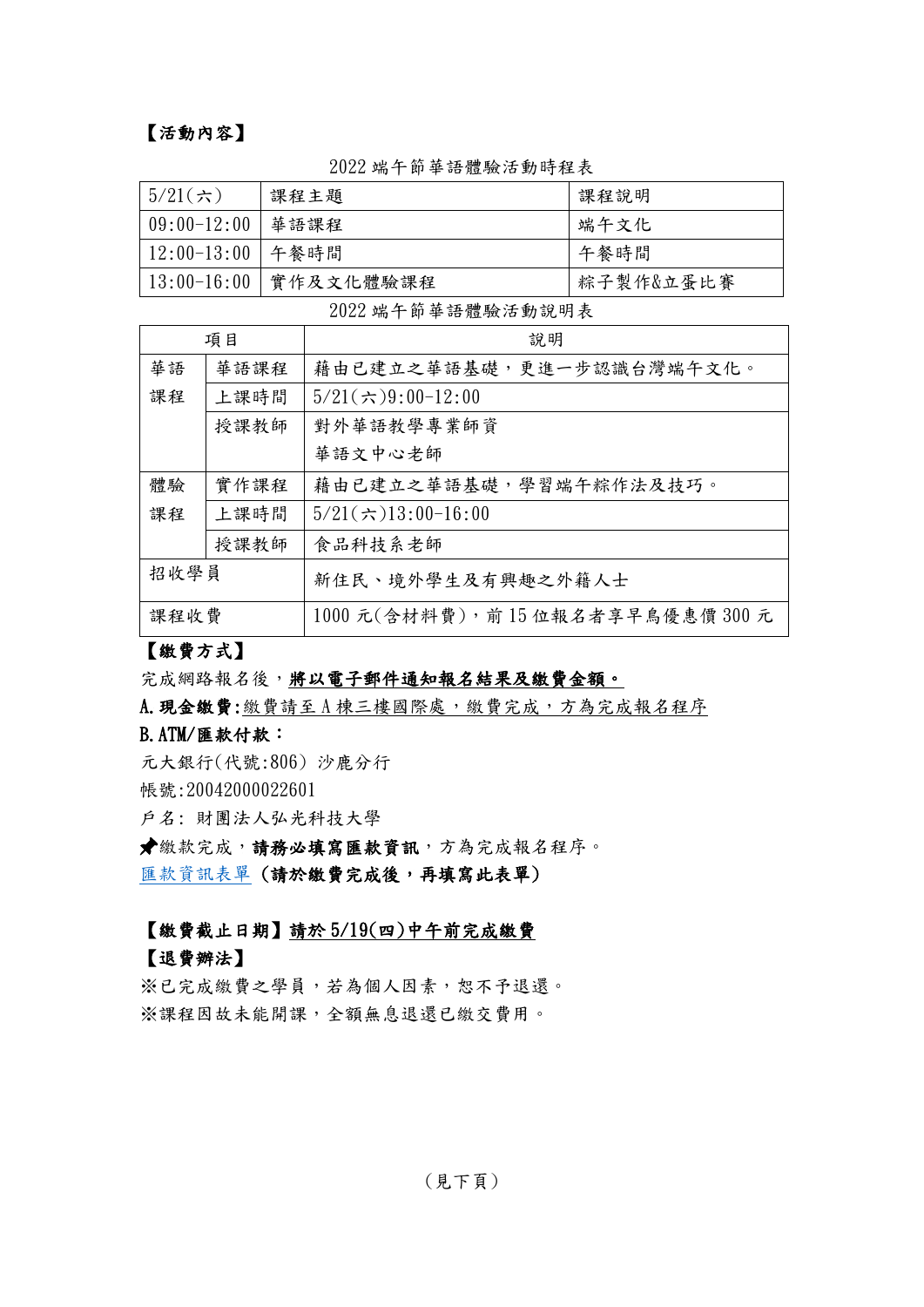### 【活動內容】

| $5/21$ (六)         | 課程主題                    | 課程說明      |
|--------------------|-------------------------|-----------|
| $09:00 - 12:00$    | 華語課程                    | 端午文化      |
| 12:00-13:00   午餐時間 |                         | 午餐時間      |
|                    | 13:00-16:00   實作及文化體驗課程 | 粽子製作&立蛋比賽 |

#### 2022 端午節華語體驗活動時程表

2022 端午節華語體驗活動說明表

| 項目   |      | 說明                             |
|------|------|--------------------------------|
| 華語   | 華語課程 | 藉由已建立之華語基礎,更進一步認識台灣端午文化。       |
| 課程   | 上課時間 | $5/21(\div 9:00-12:00$         |
|      | 授課教師 | 對外華語教學專業師資                     |
|      |      | 華語文中心老師                        |
| 體驗   | 實作課程 | 藉由已建立之華語基礎,學習端午粽作法及技巧。         |
| 課程   | 上課時間 | $5/21(\div 13:00-16:00$        |
|      | 授課教師 | 食品科技系老師                        |
| 招收學員 |      | 新住民、境外學生及有興趣之外籍人士              |
| 課程收費 |      | 1000元(含材料費), 前15位報名者享早鳥優惠價300元 |

#### 【繳費方式】

#### 完成網路報名後,將以電子郵件通知報名結果及繳費金額。

A. 現金繳費: 繳費請至 A 棟三樓國際處,繳費完成,方為完成報名程序

#### B.ATM/匯款付款:

元大銀行(代號:806) 沙鹿分行 帳號:20042000022601

戶名: 財團法人弘光科技大學

繳款完成,請務必填寫匯款資訊,方為完成報名程序。 [匯款資訊表單](https://docs.google.com/forms/d/e/1FAIpQLSfAldWg3OgWSoyFh17idqPPxtFcqzml2kPHtUyCJ8vSCF43CQ/viewform?usp=sf_link) (請於繳費完成後,再填寫此表單)

#### 【繳費截止日期】請於 5/19(四)中午前完成繳費

#### 【退費辦法】

※已完成繳費之學員,若為個人因素,恕不予退還。 ※課程因故未能開課,全額無息退還已繳交費用。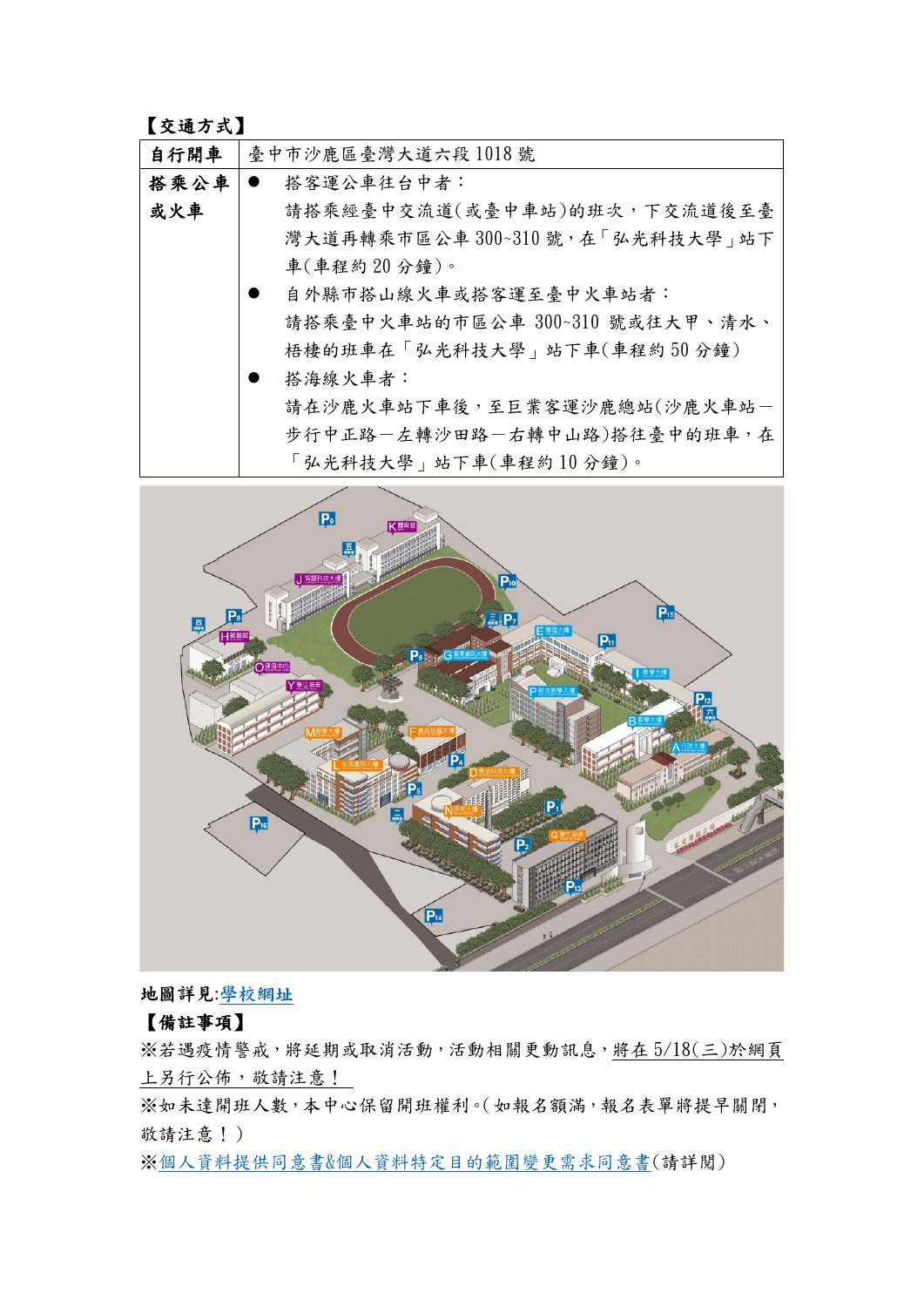### 【交通方式】

| 自行開車 | 臺中市沙鹿區臺灣大道六段1018號               |
|------|---------------------------------|
| 搭乘公車 | 搭客運公車往台中者:<br>$\bullet$         |
| 或火車  | 請搭乘經臺中交流道(或臺中車站)的班次,下交流道後至臺     |
|      | 灣大道再轉乘市區公車300~310號,在「弘光科技大學」站下  |
|      | 車(車程約20分鐘)。                     |
|      | 自外縣市搭山線火車或搭客運至臺中火車站者:           |
|      | 請搭乘臺中火車站的市區公車 300~310 號或往大甲、清水、 |
|      | 梧棲的班車在「弘光科技大學」站下車(車程約50分鐘)      |
|      | 搭海線火車者:                         |
|      | 請在沙鹿火車站下車後,至巨業客運沙鹿總站(沙鹿火車站-     |
|      | 步行中正路-左轉沙田路-右轉中山路)搭往臺中的班車,在     |
|      | 「弘光科技大學」站下車(車程約10分鐘)。           |



地圖詳見:[學校網址](https://www.hk.edu.tw/%E5%AD%B8%E6%A0%A1%E7%92%B0%E5%A2%83%E4%BB%8B%E7%B4%B9/)

## 【備註事項】

※若遇疫情警戒,將延期或取消活動,活動相關更動訊息,將在 5/18(三)於網頁 上另行公佈,敬請注意!

※如未達開班人數,本中心保留開班權利。(如報名額滿,報名表單將提早關閉, 敬請注意!)

※個人資料提供同意書&[個人資料特定目的範圍變更需求同意書](https://ndu.hk.edu.tw/upload/doc/202104090903200.pdf)(請詳閱)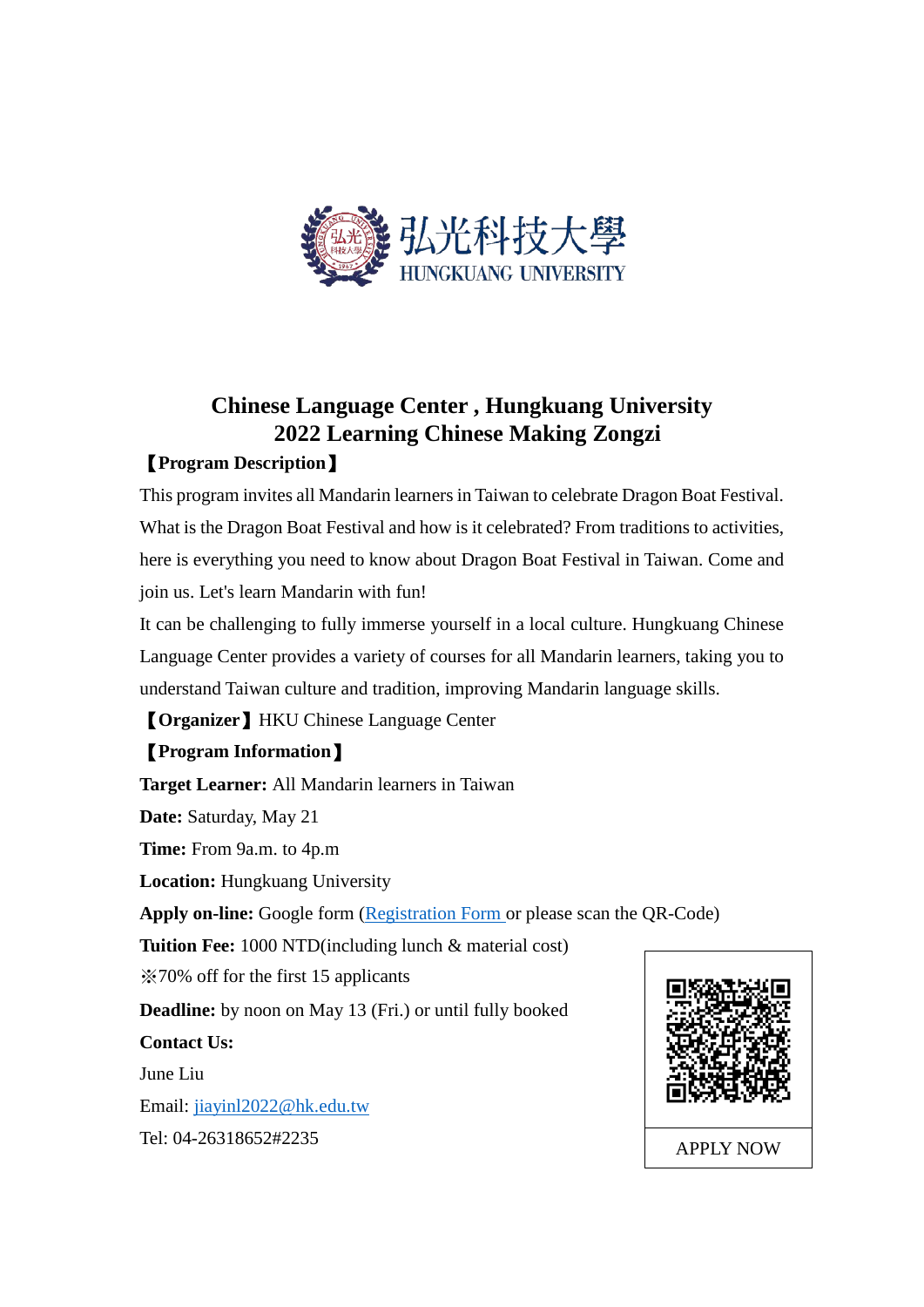

# **Chinese Language Center , Hungkuang University 2022 Learning Chinese Making Zongzi**

# 【**Program Description**】

This program invites all Mandarin learners in Taiwan to celebrate Dragon Boat Festival. What is the Dragon Boat Festival and how is it celebrated? From traditions to activities, here is everything you need to know about Dragon Boat Festival in Taiwan. Come and join us. Let's learn Mandarin with fun!

It can be challenging to fully immerse yourself in a local culture. Hungkuang Chinese Language Center provides a variety of courses for all Mandarin learners, taking you to understand Taiwan culture and tradition, improving Mandarin language skills.

【**Organizer**】HKU Chinese Language Center

# 【**Program Information**】

**Target Learner:** All Mandarin learners in Taiwan **Date:** Saturday, May 21 **Time:** From 9a.m. to 4p.m **Location:** Hungkuang University **Apply on-line:** Google form [\(Registration Form](https://docs.google.com/forms/d/e/1FAIpQLSfO-bVGLj6OQAsejQcvR2KuEvCDtHd2gP6uoFXIoQiSM6yfrA/viewform?usp=sf_link) or please scan the QR-Code) **Tuition Fee:** 1000 NTD(including lunch & material cost) ※70% off for the first 15 applicants **Deadline:** by noon on May 13 (Fri.) or until fully booked **Contact Us:** June Liu Email: [jiayinl2022@hk.edu.tw](mailto:jiayinl2022@hk.edu.tw) Tel: 04-26318652#2235 APPLY NOW

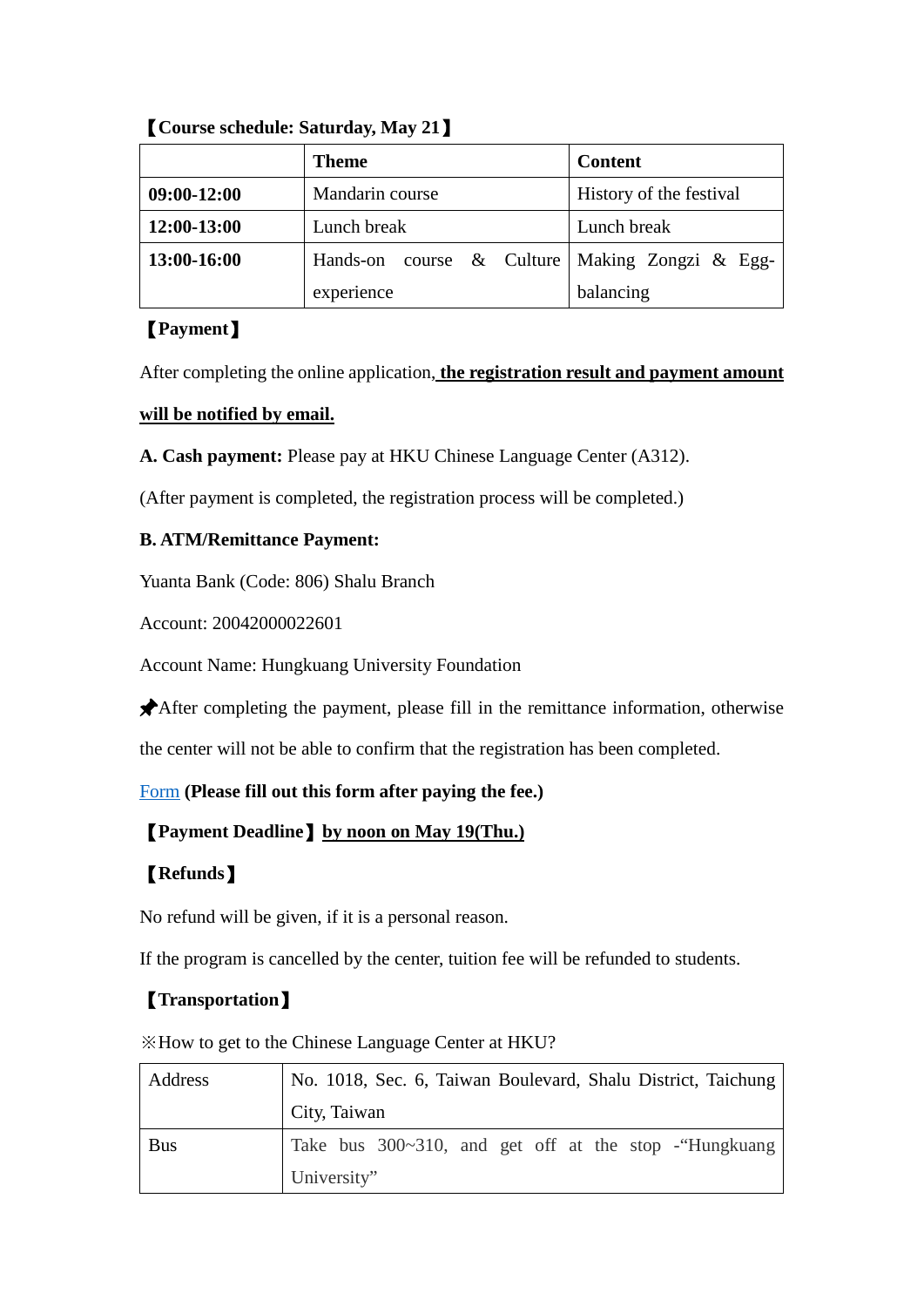|             | <b>Theme</b>    | <b>Content</b>                        |
|-------------|-----------------|---------------------------------------|
| 09:00-12:00 | Mandarin course | History of the festival               |
| 12:00-13:00 | Lunch break     | Lunch break                           |
| 13:00-16:00 | Hands-on        | course & Culture Making Zongzi & Egg- |
|             | experience      | balancing                             |

【**Course schedule: Saturday, May 21**】

### 【**Payment**】

After completing the online application, **the registration result and payment amount** 

### **will be notified by email.**

**A. Cash payment:** Please pay at HKU Chinese Language Center (A312).

(After payment is completed, the registration process will be completed.)

### **B. ATM/Remittance Payment:**

Yuanta Bank (Code: 806) Shalu Branch

Account: 20042000022601

Account Name: Hungkuang University Foundation

After completing the payment, please fill in the remittance information, otherwise

the center will not be able to confirm that the registration has been completed.

### [Form](https://docs.google.com/forms/d/e/1FAIpQLSfAldWg3OgWSoyFh17idqPPxtFcqzml2kPHtUyCJ8vSCF43CQ/viewform?usp=sf_link) **(Please fill out this form after paying the fee.)**

## 【**Payment Deadline**】**by noon on May 19(Thu.)**

# 【**Refunds**】

No refund will be given, if it is a personal reason.

If the program is cancelled by the center, tuition fee will be refunded to students.

# 【**Transportation**】

※How to get to the Chinese Language Center at HKU?

| Address    | No. 1018, Sec. 6, Taiwan Boulevard, Shalu District, Taichung |
|------------|--------------------------------------------------------------|
|            | City, Taiwan                                                 |
| <b>Bus</b> | Take bus 300~310, and get off at the stop - "Hungkuang"      |
|            | University"                                                  |